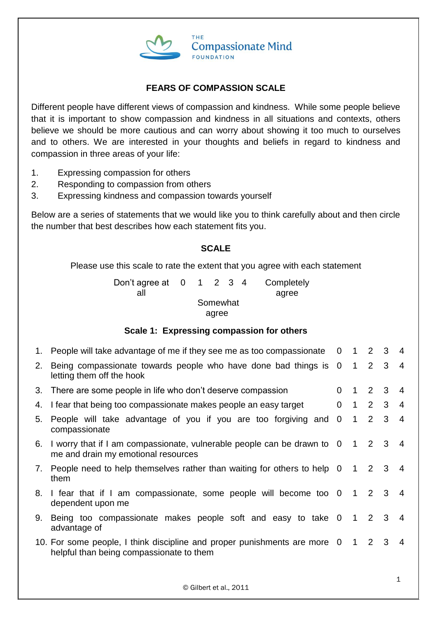

## **FEARS OF COMPASSION SCALE**

Different people have different views of compassion and kindness. While some people believe that it is important to show compassion and kindness in all situations and contexts, others believe we should be more cautious and can worry about showing it too much to ourselves and to others. We are interested in your thoughts and beliefs in regard to kindness and compassion in three areas of your life:

- 1. Expressing compassion for others
- 2. Responding to compassion from others
- 3. Expressing kindness and compassion towards yourself

Below are a series of statements that we would like you to think carefully about and then circle the number that best describes how each statement fits you.

### **SCALE**

Please use this scale to rate the extent that you agree with each statement

Don't agree at 0 all 1 2 3 4 Completely agree Somewhat agree

### **Scale 1: Expressing compassion for others**

|    | 1. People will take advantage of me if they see me as too compassionate 0 1 2 3                                           |          |                     |   | -4             |
|----|---------------------------------------------------------------------------------------------------------------------------|----------|---------------------|---|----------------|
| 2. | Being compassionate towards people who have done bad things is 0 1 2 3<br>letting them off the hook                       |          |                     |   | $\overline{4}$ |
| 3. | There are some people in life who don't deserve compassion                                                                | 0        | $1 \quad 2 \quad 3$ |   | $\overline{4}$ |
| 4. | I fear that being too compassionate makes people an easy target                                                           | $\Omega$ | $1 \quad 2 \quad 3$ |   | $\overline{4}$ |
| 5. | People will take advantage of you if you are too forgiving and 0<br>compassionate                                         |          | $1 \quad 2 \quad 3$ |   | $\overline{4}$ |
| 6. | I worry that if I am compassionate, vulnerable people can be drawn to 0 1 2 3<br>me and drain my emotional resources      |          |                     |   | $\overline{4}$ |
| 7. | People need to help themselves rather than waiting for others to help 0 1 2 3 4<br>them                                   |          |                     |   |                |
| 8. | I fear that if I am compassionate, some people will become too 0 1 2 3<br>dependent upon me                               |          |                     |   | $\overline{4}$ |
| 9. | Being too compassionate makes people soft and easy to take 0 1 2 3<br>advantage of                                        |          |                     |   | $\overline{4}$ |
|    | 10. For some people, I think discipline and proper punishments are more 0 1 2<br>helpful than being compassionate to them |          |                     | 3 | 4              |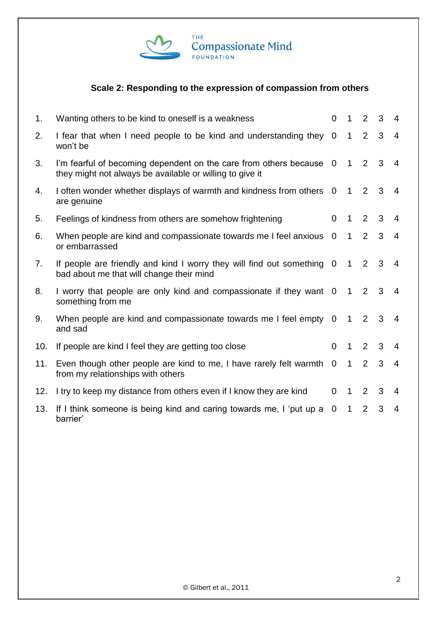

# **Scale 2: Responding to the expression of compassion from others**

| 1.  | Wanting others to be kind to oneself is a weakness                                                                              | $\Omega$       | $\mathbf{1}$   | 2              | 3 | $\overline{4}$ |
|-----|---------------------------------------------------------------------------------------------------------------------------------|----------------|----------------|----------------|---|----------------|
| 2.  | I fear that when I need people to be kind and understanding they 0<br>won't be                                                  |                | $\mathbf{1}$   | 2              | 3 | $\overline{4}$ |
| 3.  | I'm fearful of becoming dependent on the care from others because 0<br>they might not always be available or willing to give it |                | $\mathbf{1}$   | 2              | 3 | $\overline{4}$ |
| 4.  | I often wonder whether displays of warmth and kindness from others 0<br>are genuine                                             |                | $\mathbf{1}$   | 2              | 3 | $\overline{4}$ |
| 5.  | Feelings of kindness from others are somehow frightening                                                                        | $\Omega$       | 1              | 2              | 3 | 4              |
| 6.  | When people are kind and compassionate towards me I feel anxious<br>or embarrassed                                              | $\overline{0}$ | $\mathbf{1}$   | 2              | 3 | $\overline{4}$ |
| 7.  | If people are friendly and kind I worry they will find out something 0<br>bad about me that will change their mind              |                | 1              | $2^{\circ}$    | 3 | 4              |
| 8.  | I worry that people are only kind and compassionate if they want 0<br>something from me                                         |                | $\overline{1}$ | 2              | 3 | $\overline{4}$ |
| 9.  | When people are kind and compassionate towards me I feel empty 0<br>and sad                                                     |                | $\overline{1}$ | 2              | 3 | $\overline{4}$ |
| 10. | If people are kind I feel they are getting too close                                                                            | $\Omega$       | $\mathbf 1$    | 2              | 3 | $\overline{4}$ |
| 11. | Even though other people are kind to me, I have rarely felt warmth<br>from my relationships with others                         | $\overline{0}$ | $\mathbf{1}$   | $\overline{2}$ | 3 | $\overline{4}$ |
| 12. | I try to keep my distance from others even if I know they are kind                                                              | $\overline{0}$ | $\mathbf 1$    | 2              | 3 | 4              |
| 13. | If I think someone is being kind and caring towards me, I 'put up a<br>barrier'                                                 | $\Omega$       | $\mathbf{1}$   | 2              | 3 | $\overline{4}$ |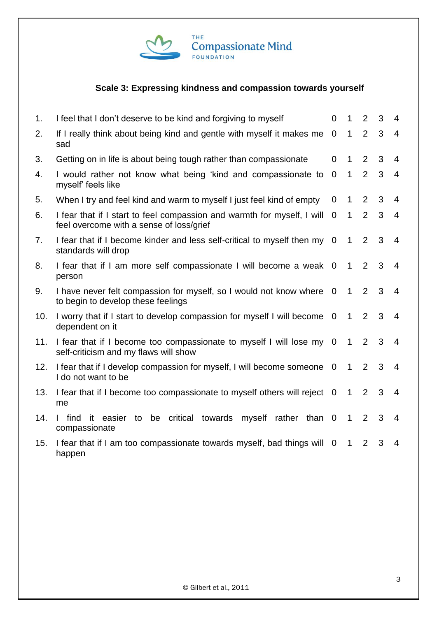

# **Scale 3: Expressing kindness and compassion towards yourself**

| 1.  | I feel that I don't deserve to be kind and forgiving to myself                                                      | 0                        | 1            | $\overline{2}$ | 3 | 4              |
|-----|---------------------------------------------------------------------------------------------------------------------|--------------------------|--------------|----------------|---|----------------|
| 2.  | If I really think about being kind and gentle with myself it makes me<br>sad                                        | $\mathbf 0$              | $\mathbf{1}$ | $\overline{2}$ | 3 | $\overline{4}$ |
| 3.  | Getting on in life is about being tough rather than compassionate                                                   | $\mathbf{0}$             | $\mathbf{1}$ | $\overline{2}$ | 3 | $\overline{4}$ |
| 4.  | I would rather not know what being 'kind and compassionate to<br>myself' feels like                                 | $\Omega$                 | 1            | $\overline{2}$ | 3 | $\overline{4}$ |
| 5.  | When I try and feel kind and warm to myself I just feel kind of empty                                               | 0                        | 1            | 2              | 3 | $\overline{4}$ |
| 6.  | I fear that if I start to feel compassion and warmth for myself, I will<br>feel overcome with a sense of loss/grief | $\overline{0}$           | 1            | $\overline{2}$ | 3 | 4              |
| 7.  | I fear that if I become kinder and less self-critical to myself then my 0<br>standards will drop                    |                          | 1            | $\overline{2}$ | 3 | $\overline{4}$ |
| 8.  | I fear that if I am more self compassionate I will become a weak 0<br>person                                        |                          | 1            | 2              | 3 | $\overline{4}$ |
| 9.  | I have never felt compassion for myself, so I would not know where 0<br>to begin to develop these feelings          |                          | 1            | 2              | 3 | $\overline{4}$ |
| 10. | I worry that if I start to develop compassion for myself I will become<br>dependent on it                           | $\overline{0}$           | 1            | 2              | 3 | $\overline{4}$ |
| 11. | I fear that if I become too compassionate to myself I will lose my 0<br>self-criticism and my flaws will show       |                          | $\mathbf{1}$ | 2              | 3 | $\overline{4}$ |
| 12. | I fear that if I develop compassion for myself, I will become someone<br>I do not want to be                        | $\overline{0}$           | $\mathbf{1}$ | $\overline{2}$ | 3 | $\overline{4}$ |
| 13. | I fear that if I become too compassionate to myself others will reject 0<br>me                                      |                          | $\mathbf{1}$ | $\overline{2}$ | 3 | $\overline{4}$ |
| 14. | be critical towards<br>than 0<br>find<br>- it<br>myself rather<br>easier<br>to<br>compassionate                     |                          | 1            | $\overline{2}$ | 3 | $\overline{4}$ |
| 15. | I fear that if I am too compassionate towards myself, bad things will<br>happen                                     | $\overline{\phantom{0}}$ | 1            | 2              | 3 | $\overline{4}$ |